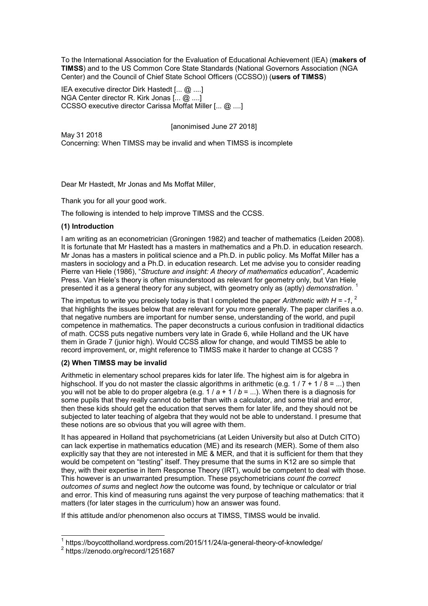To the International Association for the Evaluation of Educational Achievement (IEA) (**makers of TIMSS**) and to the US Common Core State Standards (National Governors Association (NGA Center) and the Council of Chief State School Officers (CCSSO)) (**users of TIMSS**)

IEA executive director Dirk Hastedt [... @ ....] NGA Center director R. Kirk Jonas [... @ ....] CCSSO executive director Carissa Moffat Miller [... @ ....]

[anonimised June 27 2018]

May 31 2018 Concerning: When TIMSS may be invalid and when TIMSS is incomplete

Dear Mr Hastedt, Mr Jonas and Ms Moffat Miller,

Thank you for all your good work.

The following is intended to help improve TIMSS and the CCSS.

#### **(1) Introduction**

I am writing as an econometrician (Groningen 1982) and teacher of mathematics (Leiden 2008). It is fortunate that Mr Hastedt has a masters in mathematics and a Ph.D. in education research. Mr Jonas has a masters in political science and a Ph.D. in public policy. Ms Moffat Miller has a masters in sociology and a Ph.D. in education research. Let me advise you to consider reading Pierre van Hiele (1986), "*Structure and insight: A theory of mathematics education*", Academic Press. Van Hiele's theory is often misunderstood as relevant for geometry only, but Van Hiele presented it as a general theory for any subject, with geometry only as (aptly) *demonstration*. 1

The impetus to write you precisely today is that I completed the paper *Arithmetic with H = -1*,  $^2$ that highlights the issues below that are relevant for you more generally. The paper clarifies a.o. that negative numbers are important for number sense, understanding of the world, and pupil competence in mathematics. The paper deconstructs a curious confusion in traditional didactics of math. CCSS puts negative numbers very late in Grade 6, while Holland and the UK have them in Grade 7 (junior high). Would CCSS allow for change, and would TIMSS be able to record improvement, or, might reference to TIMSS make it harder to change at CCSS ?

#### **(2) When TIMSS may be invalid**

Arithmetic in elementary school prepares kids for later life. The highest aim is for algebra in highschool. If you do not master the classic algorithms in arithmetic (e.g.  $1/7 + 1/8 = ...$ ) then you will not be able to do proper algebra (e.g. 1 / *a* + 1 / *b* = ...). When there is a diagnosis for some pupils that they really cannot do better than with a calculator, and some trial and error, then these kids should get the education that serves them for later life, and they should not be subjected to later teaching of algebra that they would not be able to understand. I presume that these notions are so obvious that you will agree with them.

It has appeared in Holland that psychometricians (at Leiden University but also at Dutch CITO) can lack expertise in mathematics education (ME) and its research (MER). Some of them also explicitly say that they are not interested in ME & MER, and that it is sufficient for them that they would be competent on "testing" itself. They presume that the sums in K12 are so simple that they, with their expertise in Item Response Theory (IRT), would be competent to deal with those. This however is an unwarranted presumption. These psychometricians *count the correct outcomes of sums* and neglect *how* the outcome was found, by technique or calculator or trial and error. This kind of measuring runs against the very purpose of teaching mathematics: that it matters (for later stages in the curriculum) how an answer was found.

If this attitude and/or phenomenon also occurs at TIMSS, TIMSS would be invalid.

 1 https://boycottholland.wordpress.com/2015/11/24/a-general-theory-of-knowledge/

<sup>&</sup>lt;sup>2</sup> https://zenodo.org/record/1251687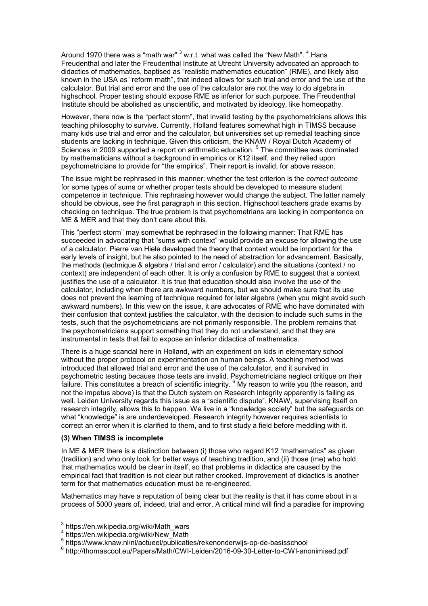Around 1970 there was a "math war"  $^3$  w.r.t. what was called the "New Math".  $^4$  Hans Freudenthal and later the Freudenthal Institute at Utrecht University advocated an approach to didactics of mathematics, baptised as "realistic mathematics education" (RME), and likely also known in the USA as "reform math", that indeed allows for such trial and error and the use of the calculator. But trial and error and the use of the calculator are not the way to do algebra in highschool. Proper testing should expose RME as inferior for such purpose. The Freudenthal Institute should be abolished as unscientific, and motivated by ideology, like homeopathy.

However, there now is the "perfect storm", that invalid testing by the psychometricians allows this teaching philosophy to survive. Currently, Holland features somewhat high in TIMSS because many kids use trial and error and the calculator, but universities set up remedial teaching since students are lacking in technique. Given this criticism, the KNAW / Royal Dutch Academy of Sciences in 2009 supported a report on arithmetic education.<sup>5</sup> The committee was dominated by mathematicians without a background in empirics or K12 itself, and they relied upon psychometricians to provide for "the empirics". Their report is invalid, for above reason.

The issue might be rephrased in this manner: whether the test criterion is the *correct outcome* for some types of sums or whether proper tests should be developed to measure student competence in technique. This rephrasing however would change the subject. The latter namely should be obvious, see the first paragraph in this section. Highschool teachers grade exams by checking on technique. The true problem is that psychometrians are lacking in compentence on ME & MER and that they don't care about this.

This "perfect storm" may somewhat be rephrased in the following manner: That RME has succeeded in advocating that "sums with context" would provide an excuse for allowing the use of a calculator. Pierre van Hiele developed the theory that context would be important for the early levels of insight, but he also pointed to the need of abstraction for advancement. Basically, the methods (technique & algebra / trial and error / calculator) and the situations (context / no context) are independent of each other. It is only a confusion by RME to suggest that a context justifies the use of a calculator. It is true that education should also involve the use of the calculator, including when there are awkward numbers, but we should make sure that its use does not prevent the learning of technique required for later algebra (when you might avoid such awkward numbers). In this view on the issue, it are advocates of RME who have dominated with their confusion that context justifies the calculator, with the decision to include such sums in the tests, such that the psychometricians are not primarily responsible. The problem remains that the psychometricians support something that they do not understand, and that they are instrumental in tests that fail to expose an inferior didactics of mathematics.

There is a huge scandal here in Holland, with an experiment on kids in elementary school without the proper protocol on experimentation on human beings. A teaching method was introduced that allowed trial and error and the use of the calculator, and it survived in psychometric testing because those tests are invalid. Psychometricians neglect critique on their  $\dot{}$ failure. This constitutes a breach of scientific integrity.  $^6$  My reason to write you (the reason, and not the impetus above) is that the Dutch system on Research Integrity apparently is failing as well. Leiden University regards this issue as a "scientific dispute". KNAW, supervising itself on research integrity, allows this to happen. We live in a "knowledge society" but the safeguards on what "knowledge" is are underdeveloped. Research integrity however requires scientists to correct an error when it is clarified to them, and to first study a field before meddling with it.

#### **(3) When TIMSS is incomplete**

In ME & MER there is a distinction between (i) those who regard K12 "mathematics" as given (tradition) and who only look for better ways of teaching tradition, and (ii) those (me) who hold that mathematics would be clear in itself, so that problems in didactics are caused by the empirical fact that tradition is not clear but rather crooked. Improvement of didactics is another term for that mathematics education must be re-engineered.

Mathematics may have a reputation of being clear but the reality is that it has come about in a process of 5000 years of, indeed, trial and error. A critical mind will find a paradise for improving

 3 https://en.wikipedia.org/wiki/Math\_wars

<sup>4</sup> https://en.wikipedia.org/wiki/New\_Math

<sup>5</sup> https://www.knaw.nl/nl/actueel/publicaties/rekenonderwijs-op-de-basisschool

 $^6$  http://thomascool.eu/Papers/Math/CWI-Leiden/2016-09-30-Letter-to-CWI-anonimised.pdf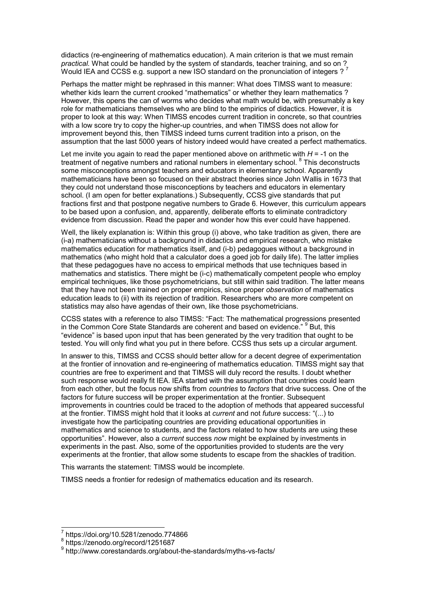didactics (re-engineering of mathematics education). A main criterion is that we must remain *practical.* What could be handled by the system of standards, teacher training, and so on ? Would IEA and CCSS e.g. support a new ISO standard on the pronunciation of integers  $2^7$ 

Perhaps the matter might be rephrased in this manner: What does TIMSS want to measure: whether kids learn the current crooked "mathematics" or whether they learn mathematics ? However, this opens the can of worms who decides what math would be, with presumably a key role for mathematicians themselves who are blind to the empirics of didactics. However, it is proper to look at this way: When TIMSS encodes current tradition in concrete, so that countries with a low score try to copy the higher-up countries, and when TIMSS does not allow for improvement beyond this, then TIMSS indeed turns current tradition into a prison, on the assumption that the last 5000 years of history indeed would have created a perfect mathematics.

Let me invite you again to read the paper mentioned above on arithmetic with *H* = -1 on the treatment of negative numbers and rational numbers in elementary school. <sup>8</sup> This deconstructs some misconceptions amongst teachers and educators in elementary school. Apparently mathematicians have been so focused on their abstract theories since John Wallis in 1673 that they could not understand those misconceptions by teachers and educators in elementary school. (I am open for better explanations.) Subsequently, CCSS give standards that put fractions first and that postpone negative numbers to Grade 6. However, this curriculum appears to be based upon a confusion, and, apparently, deliberate efforts to eliminate contradictory evidence from discussion. Read the paper and wonder how this ever could have happened.

Well, the likely explanation is: Within this group (i) above, who take tradition as given, there are (i-a) mathematicians without a background in didactics and empirical research, who mistake mathematics education for mathematics itself, and (i-b) pedagogues without a background in mathematics (who might hold that a calculator does a goed job for daily life). The latter implies that these pedagogues have no access to empirical methods that use techniques based in mathematics and statistics. There might be (i-c) mathematically competent people who employ empirical techniques, like those psychometricians, but still within said tradition. The latter means that they have not been trained on proper empirics, since proper *observation* of mathematics education leads to (ii) with its rejection of tradition. Researchers who are more competent on statistics may also have agendas of their own, like those psychometricians.

CCSS states with a reference to also TIMSS: "Fact: The mathematical progressions presented in the Common Core State Standards are coherent and based on evidence." <sup>9</sup> But, this "evidence" is based upon input that has been generated by the very tradition that ought to be tested. You will only find what you put in there before. CCSS thus sets up a circular argument.

In answer to this, TIMSS and CCSS should better allow for a decent degree of experimentation at the frontier of innovation and re-engineering of mathematics education. TIMSS might say that countries are free to experiment and that TIMSS will duly record the results. I doubt whether such response would really fit IEA. IEA started with the assumption that countries could learn from each other, but the focus now shifts from *countries* to *factors* that drive success. One of the factors for future success will be proper experimentation at the frontier. Subsequent improvements in countries could be traced to the adoption of methods that appeared successful at the frontier. TIMSS might hold that it looks at *current* and not *future* success: "(...) to investigate how the participating countries are providing educational opportunities in mathematics and science to students, and the factors related to how students are using these opportunities". However, also a *current* success *now* might be explained by investments in experiments in the past. Also, some of the opportunities provided to students are the very experiments at the frontier, that allow some students to escape from the shackles of tradition.

This warrants the statement: TIMSS would be incomplete.

TIMSS needs a frontier for redesign of mathematics education and its research.

 $\overline{a}$ 

 $\frac{7}{1}$ https://doi.org/10.5281/zenodo.774866

<sup>8</sup> https://zenodo.org/record/1251687

<sup>9</sup> http://www.corestandards.org/about-the-standards/myths-vs-facts/